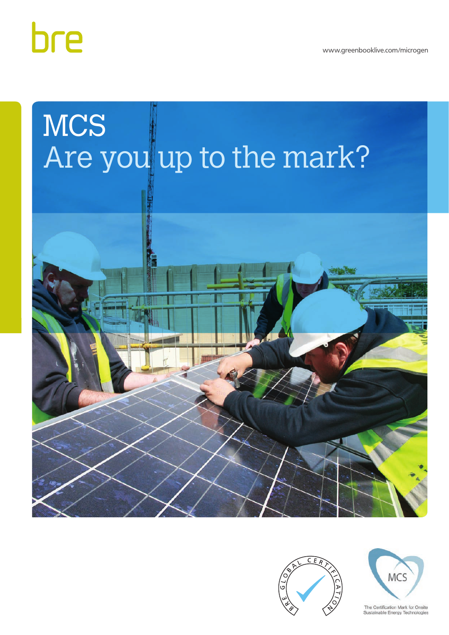www.greenbooklive.com/microgen



# **MCS** Are you up to the mark?





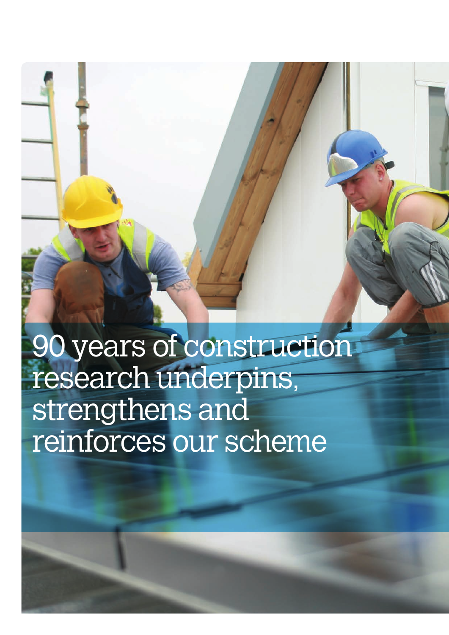# 90 years of construction research underpins, strengthens and reinforces our scheme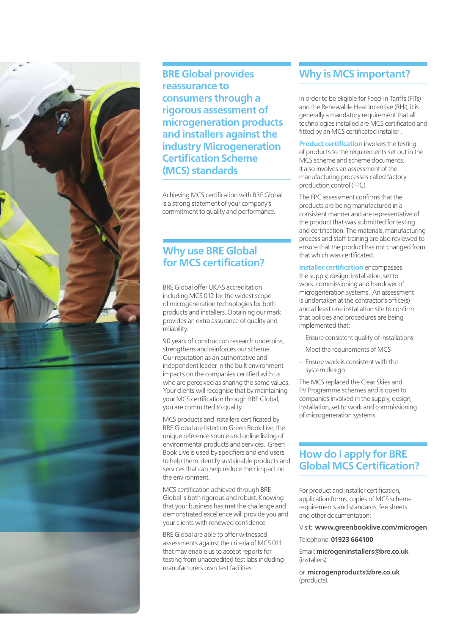

**BRE Global provides reassurance to consumers through a rigorous assessment of microgeneration products and installers against the industry Microgeneration Certification Scheme (MCS) standards**

Achieving MCS certification with BRE Global is a strong statement of your company's commitment to quality and performance.

### **Why use BRE Global for MCS certification?**

BRE Global offer UKAS accreditation including MCS 012 for the widest scope of microgeneration technologies for both products and installers. Obtaining our mark provides an extra assurance of quality and reliability.

90 years of construction research underpins. strengthens and reinforces our scheme. Our reputation as an authoritative and independent leader in the built environment impacts on the companies certified with us who are perceived as sharing the same values. Your clients will recognise that by maintaining your MCS certification through BRE Global, you are committed to quality.

MCS products and installers certificated by BRE Global are listed on Green Book Live, the unique reference source and online listing of environmental products and services. Green Book Live is used by specifiers and end users to help them identify sustainable products and services that can help reduce their impact on the environment.

MCS certification achieved through BRE Global is both rigorous and robust. Knowing that your business has met the challenge and demonstrated excellence will provide you and your clients with renewed confidence.

BRE Global are able to offer witnessed assessments against the criteria of MCS 011 that may enable us to accept reports for testing from unaccredited test labs including manufacturers own test facilities.

## **Why is MCS important?**

In order to be eligible for Feed-in Tariffs (FITs) and the Renewable Heat Incentive (RHI), it is generally a mandatory requirement that all technologies installed are MCS certificated and fitted by an MCS certificated installer .

**Product certification** involves the testing of products to the requirements set out in the MCS scheme and scheme documents. It also involves an assessment of the manufacturing processes called factory production control (FPC).

The FPC assessment confirms that the products are being manufactured in a consistent manner and are representative of the product that was submitted for testing and certification. The materials, manufacturing process and staff training are also reviewed to ensure that the product has not changed from that which was certificated.

**Installer certification** encompasses the supply, design, installation, set to work, commissioning and handover of microgeneration systems. An assessment is undertaken at the contractor's office(s) and at least one installation site to confirm that policies and procedures are being implemented that:

- Ensure consistent quality of installations
- Meet the requirements of MCS
- Ensure work is consistent with the system design

The MCS replaced the Clear Skies and PV Programme schemes and is open to companies involved in the supply, design, installation, set to work and commissioning of microgeneration systems.

## **How do I apply for BRE Global MCS Certification?**

For product and installer certification, application forms, copies of MCS scheme requirements and standards, fee sheets and other documentation:

Visit: **www.greenbooklive.com/microgen**

#### Telephone: **01923 664100**

Email: **microgeninstallers@bre.co.uk** (installers)

or **microgenproducts@bre.co.uk** (products).